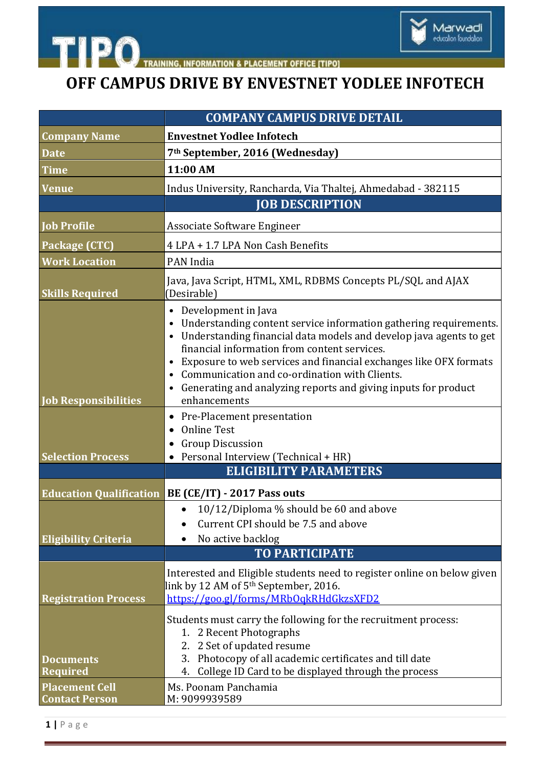

**TIPO INFORMATION & PLACEMENT OFFICE [TIPO]** 

## **OFF CAMPUS DRIVE BY ENVESTNET YODLEE INFOTECH**

| <b>COMPANY CAMPUS DRIVE DETAIL</b>                           |                                                                                                                                                                                                                                                                                                                                                                                                                                                                            |
|--------------------------------------------------------------|----------------------------------------------------------------------------------------------------------------------------------------------------------------------------------------------------------------------------------------------------------------------------------------------------------------------------------------------------------------------------------------------------------------------------------------------------------------------------|
| <b>Company Name</b>                                          | <b>Envestnet Yodlee Infotech</b>                                                                                                                                                                                                                                                                                                                                                                                                                                           |
| <b>Date</b>                                                  | 7 <sup>th</sup> September, 2016 (Wednesday)                                                                                                                                                                                                                                                                                                                                                                                                                                |
| <b>Time</b>                                                  | 11:00 AM                                                                                                                                                                                                                                                                                                                                                                                                                                                                   |
| <b>Venue</b>                                                 | Indus University, Rancharda, Via Thaltej, Ahmedabad - 382115                                                                                                                                                                                                                                                                                                                                                                                                               |
|                                                              | <b>JOB DESCRIPTION</b>                                                                                                                                                                                                                                                                                                                                                                                                                                                     |
| <b>Job Profile</b>                                           | Associate Software Engineer                                                                                                                                                                                                                                                                                                                                                                                                                                                |
| Package (CTC)                                                | 4 LPA + 1.7 LPA Non Cash Benefits                                                                                                                                                                                                                                                                                                                                                                                                                                          |
| <b>Work Location</b>                                         | PAN India                                                                                                                                                                                                                                                                                                                                                                                                                                                                  |
| <b>Skills Required</b>                                       | Java, Java Script, HTML, XML, RDBMS Concepts PL/SQL and AJAX<br>(Desirable)                                                                                                                                                                                                                                                                                                                                                                                                |
| <b>Job Responsibilities</b>                                  | Development in Java<br>$\bullet$<br>Understanding content service information gathering requirements.<br>$\bullet$<br>Understanding financial data models and develop java agents to get<br>$\bullet$<br>financial information from content services.<br>Exposure to web services and financial exchanges like OFX formats<br>$\bullet$<br>Communication and co-ordination with Clients.<br>Generating and analyzing reports and giving inputs for product<br>enhancements |
| <b>Selection Process</b>                                     | Pre-Placement presentation<br>$\bullet$<br><b>Online Test</b><br><b>Group Discussion</b><br>$\bullet$<br>Personal Interview (Technical + HR)                                                                                                                                                                                                                                                                                                                               |
|                                                              | <b>ELIGIBILITY PARAMETERS</b>                                                                                                                                                                                                                                                                                                                                                                                                                                              |
| <b>Education Qualification</b>                               | BE (CE/IT) - 2017 Pass outs                                                                                                                                                                                                                                                                                                                                                                                                                                                |
| <b>Eligibility Criteria</b>                                  | 10/12/Diploma % should be 60 and above<br>$\bullet$<br>Current CPI should be 7.5 and above<br>No active backlog<br><b>TO PARTICIPATE</b>                                                                                                                                                                                                                                                                                                                                   |
| <b>Registration Process</b>                                  | Interested and Eligible students need to register online on below given<br>link by 12 AM of 5 <sup>th</sup> September, 2016.<br>https://goo.gl/forms/MRbOqkRHdGkzsXFD2                                                                                                                                                                                                                                                                                                     |
| <b>Documents</b><br><b>Required</b><br><b>Placement Cell</b> | Students must carry the following for the recruitment process:<br>1. 2 Recent Photographs<br>2. 2 Set of updated resume<br>3. Photocopy of all academic certificates and till date<br>College ID Card to be displayed through the process<br>4.<br>Ms. Poonam Panchamia                                                                                                                                                                                                    |
| <b>Contact Person</b>                                        | M: 9099939589                                                                                                                                                                                                                                                                                                                                                                                                                                                              |